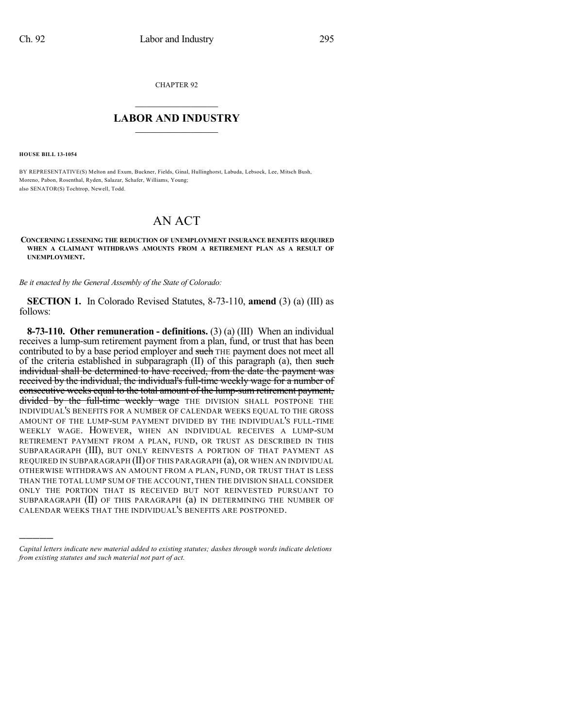CHAPTER 92

## $\overline{\phantom{a}}$  . The set of the set of the set of the set of the set of the set of the set of the set of the set of the set of the set of the set of the set of the set of the set of the set of the set of the set of the set o **LABOR AND INDUSTRY**  $\frac{1}{\sqrt{2}}$  ,  $\frac{1}{\sqrt{2}}$  ,  $\frac{1}{\sqrt{2}}$  ,  $\frac{1}{\sqrt{2}}$  ,  $\frac{1}{\sqrt{2}}$  ,  $\frac{1}{\sqrt{2}}$

**HOUSE BILL 13-1054**

)))))

BY REPRESENTATIVE(S) Melton and Exum, Buckner, Fields, Ginal, Hullinghorst, Labuda, Lebsock, Lee, Mitsch Bush, Moreno, Pabon, Rosenthal, Ryden, Salazar, Schafer, Williams, Young; also SENATOR(S) Tochtrop, Newell, Todd.

## AN ACT

**CONCERNING LESSENING THE REDUCTION OF UNEMPLOYMENT INSURANCE BENEFITS REQUIRED WHEN A CLAIMANT WITHDRAWS AMOUNTS FROM A RETIREMENT PLAN AS A RESULT OF UNEMPLOYMENT.**

*Be it enacted by the General Assembly of the State of Colorado:*

**SECTION 1.** In Colorado Revised Statutes, 8-73-110, **amend** (3) (a) (III) as follows:

**8-73-110. Other remuneration - definitions.** (3) (a) (III) When an individual receives a lump-sum retirement payment from a plan, fund, or trust that has been contributed to by a base period employer and such THE payment does not meet all of the criteria established in subparagraph  $(II)$  of this paragraph  $(a)$ , then such individual shall be determined to have received, from the date the payment was received by the individual, the individual's full-time weekly wage for a number of consecutive weeks equal to the total amount of the lump-sum retirement payment, divided by the full-time weekly wage THE DIVISION SHALL POSTPONE THE INDIVIDUAL'S BENEFITS FOR A NUMBER OF CALENDAR WEEKS EQUAL TO THE GROSS AMOUNT OF THE LUMP-SUM PAYMENT DIVIDED BY THE INDIVIDUAL'S FULL-TIME WEEKLY WAGE. HOWEVER, WHEN AN INDIVIDUAL RECEIVES A LUMP-SUM RETIREMENT PAYMENT FROM A PLAN, FUND, OR TRUST AS DESCRIBED IN THIS SUBPARAGRAPH (III), BUT ONLY REINVESTS A PORTION OF THAT PAYMENT AS REQUIRED IN SUBPARAGRAPH (II) OF THIS PARAGRAPH (a), OR WHEN AN INDIVIDUAL OTHERWISE WITHDRAWS AN AMOUNT FROM A PLAN, FUND, OR TRUST THAT IS LESS THAN THE TOTAL LUMP SUM OF THE ACCOUNT, THEN THE DIVISION SHALL CONSIDER ONLY THE PORTION THAT IS RECEIVED BUT NOT REINVESTED PURSUANT TO SUBPARAGRAPH (II) OF THIS PARAGRAPH (a) IN DETERMINING THE NUMBER OF CALENDAR WEEKS THAT THE INDIVIDUAL'S BENEFITS ARE POSTPONED.

*Capital letters indicate new material added to existing statutes; dashes through words indicate deletions from existing statutes and such material not part of act.*